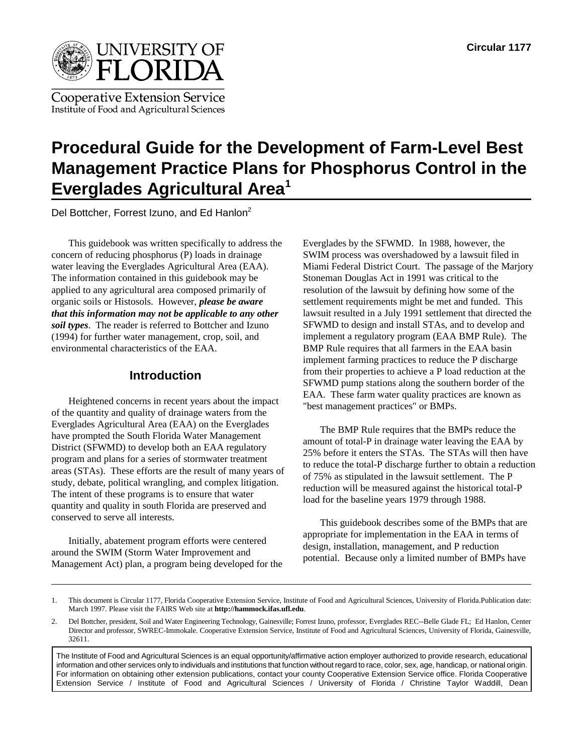

**Cooperative Extension Service** Institute of Food and Agricultural Sciences

# **Procedural Guide for the Development of Farm-Level Best Management Practice Plans for Phosphorus Control in the Everglades Agricultural Area1**

Del Bottcher, Forrest Izuno, and Ed Hanlon<sup>2</sup>

This guidebook was written specifically to address the Everglades by the SFWMD. In 1988, however, the concern of reducing phosphorus (P) loads in drainage SWIM process was overshadowed by a lawsuit filed in water leaving the Everglades Agricultural Area (EAA). Miami Federal District Court. The passage of the Marjory The information contained in this guidebook may be Stoneman Douglas Act in 1991 was critical to the applied to any agricultural area composed primarily of resolution of the lawsuit by defining how some of the organic soils or Histosols. However, *please be aware that this information may not be applicable to any other soil types*. The reader is referred to Bottcher and Izuno (1994) for further water management, crop, soil, and environmental characteristics of the EAA.

# **Introduction**

Heightened concerns in recent years about the impact of the quantity and quality of drainage waters from the Everglades Agricultural Area (EAA) on the Everglades have prompted the South Florida Water Management District (SFWMD) to develop both an EAA regulatory program and plans for a series of stormwater treatment areas (STAs). These efforts are the result of many years of study, debate, political wrangling, and complex litigation. The intent of these programs is to ensure that water quantity and quality in south Florida are preserved and conserved to serve all interests.

Initially, abatement program efforts were centered around the SWIM (Storm Water Improvement and Management Act) plan, a program being developed for the settlement requirements might be met and funded. This lawsuit resulted in a July 1991 settlement that directed the SFWMD to design and install STAs, and to develop and implement a regulatory program (EAA BMP Rule). The BMP Rule requires that all farmers in the EAA basin implement farming practices to reduce the P discharge from their properties to achieve a P load reduction at the SFWMD pump stations along the southern border of the EAA. These farm water quality practices are known as "best management practices" or BMPs.

The BMP Rule requires that the BMPs reduce the amount of total-P in drainage water leaving the EAA by 25% before it enters the STAs. The STAs will then have to reduce the total-P discharge further to obtain a reduction of 75% as stipulated in the lawsuit settlement. The P reduction will be measured against the historical total-P load for the baseline years 1979 through 1988.

This guidebook describes some of the BMPs that are appropriate for implementation in the EAA in terms of design, installation, management, and P reduction potential. Because only a limited number of BMPs have

The Institute of Food and Agricultural Sciences is an equal opportunity/affirmative action employer authorized to provide research, educational information and other services only to individuals and institutions that function without regard to race, color, sex, age, handicap, or national origin. For information on obtaining other extension publications, contact your county Cooperative Extension Service office. Florida Cooperative Extension Service / Institute of Food and Agricultural Sciences / University of Florida / Christine Taylor Waddill, Dean

<sup>1.</sup> This document is Circular 1177, Florida Cooperative Extension Service, Institute of Food and Agricultural Sciences, University of Florida.Publication date: March 1997. Please visit the FAIRS Web site at **http://hammock.ifas.ufl.edu**.

<sup>2.</sup> Del Bottcher, president, Soil and Water Engineering Technology, Gainesville; Forrest Izuno, professor, Everglades REC--Belle Glade FL; Ed Hanlon, Center Director and professor, SWREC-Immokale. Cooperative Extension Service, Institute of Food and Agricultural Sciences, University of Florida, Gainesville, 32611.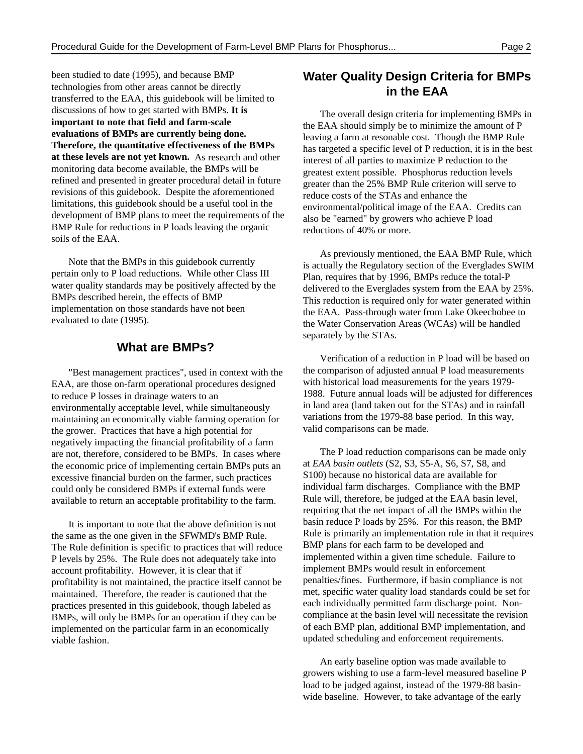been studied to date (1995), and because BMP technologies from other areas cannot be directly transferred to the EAA, this guidebook will be limited to discussions of how to get started with BMPs. **It is important to note that field and farm-scale evaluations of BMPs are currently being done. Therefore, the quantitative effectiveness of the BMPs at these levels are not yet known.** As research and other monitoring data become available, the BMPs will be refined and presented in greater procedural detail in future revisions of this guidebook. Despite the aforementioned limitations, this guidebook should be a useful tool in the development of BMP plans to meet the requirements of the BMP Rule for reductions in P loads leaving the organic soils of the EAA.

Note that the BMPs in this guidebook currently pertain only to P load reductions. While other Class III water quality standards may be positively affected by the BMPs described herein, the effects of BMP implementation on those standards have not been evaluated to date (1995).

#### **What are BMPs?**

"Best management practices", used in context with the EAA, are those on-farm operational procedures designed to reduce P losses in drainage waters to an environmentally acceptable level, while simultaneously maintaining an economically viable farming operation for the grower. Practices that have a high potential for negatively impacting the financial profitability of a farm are not, therefore, considered to be BMPs. In cases where the economic price of implementing certain BMPs puts an excessive financial burden on the farmer, such practices could only be considered BMPs if external funds were available to return an acceptable profitability to the farm.

It is important to note that the above definition is not the same as the one given in the SFWMD's BMP Rule. The Rule definition is specific to practices that will reduce P levels by 25%. The Rule does not adequately take into account profitability. However, it is clear that if profitability is not maintained, the practice itself cannot be maintained. Therefore, the reader is cautioned that the practices presented in this guidebook, though labeled as BMPs, will only be BMPs for an operation if they can be implemented on the particular farm in an economically viable fashion.

# **Water Quality Design Criteria for BMPs in the EAA**

The overall design criteria for implementing BMPs in the EAA should simply be to minimize the amount of P leaving a farm at resonable cost. Though the BMP Rule has targeted a specific level of P reduction, it is in the best interest of all parties to maximize P reduction to the greatest extent possible. Phosphorus reduction levels greater than the 25% BMP Rule criterion will serve to reduce costs of the STAs and enhance the environmental/political image of the EAA. Credits can also be "earned" by growers who achieve P load reductions of 40% or more.

As previously mentioned, the EAA BMP Rule, which is actually the Regulatory section of the Everglades SWIM Plan, requires that by 1996, BMPs reduce the total-P delivered to the Everglades system from the EAA by 25%. This reduction is required only for water generated within the EAA. Pass-through water from Lake Okeechobee to the Water Conservation Areas (WCAs) will be handled separately by the STAs.

Verification of a reduction in P load will be based on the comparison of adjusted annual P load measurements with historical load measurements for the years 1979- 1988. Future annual loads will be adjusted for differences in land area (land taken out for the STAs) and in rainfall variations from the 1979-88 base period. In this way, valid comparisons can be made.

The P load reduction comparisons can be made only at *EAA basin outlets* (S2, S3, S5-A, S6, S7, S8, and S100) because no historical data are available for individual farm discharges. Compliance with the BMP Rule will, therefore, be judged at the EAA basin level, requiring that the net impact of all the BMPs within the basin reduce P loads by 25%. For this reason, the BMP Rule is primarily an implementation rule in that it requires BMP plans for each farm to be developed and implemented within a given time schedule. Failure to implement BMPs would result in enforcement penalties/fines. Furthermore, if basin compliance is not met, specific water quality load standards could be set for each individually permitted farm discharge point. Noncompliance at the basin level will necessitate the revision of each BMP plan, additional BMP implementation, and updated scheduling and enforcement requirements.

An early baseline option was made available to growers wishing to use a farm-level measured baseline P load to be judged against, instead of the 1979-88 basinwide baseline. However, to take advantage of the early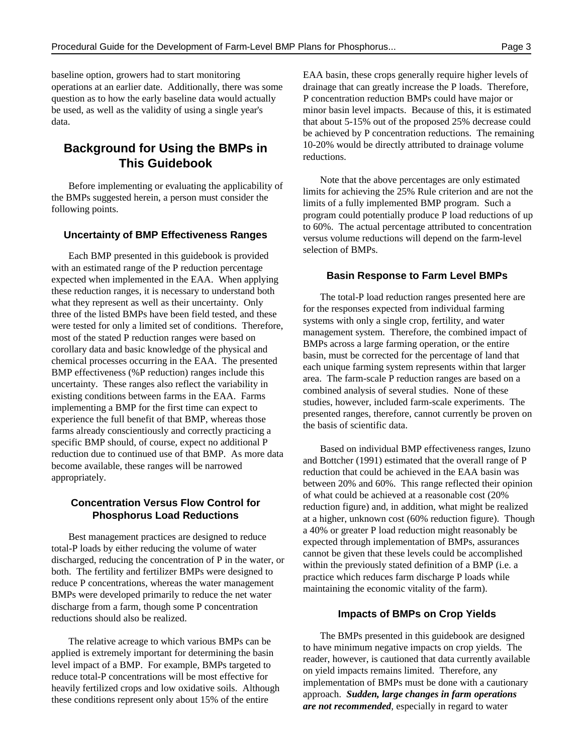baseline option, growers had to start monitoring EAA basin, these crops generally require higher levels of operations at an earlier date. Additionally, there was some drainage that can greatly increase the P loads. Therefore, question as to how the early baseline data would actually P concentration reduction BMPs could have major or be used, as well as the validity of using a single year's minor basin level impacts. Because of this, it is estimated data. that about 5-15% out of the proposed 25% decrease could

# **This Guidebook**

Before implementing or evaluating the applicability of the BMPs suggested herein, a person must consider the following points.

#### **Uncertainty of BMP Effectiveness Ranges**

Each BMP presented in this guidebook is provided with an estimated range of the P reduction percentage expected when implemented in the EAA. When applying these reduction ranges, it is necessary to understand both what they represent as well as their uncertainty. Only three of the listed BMPs have been field tested, and these were tested for only a limited set of conditions. Therefore, most of the stated P reduction ranges were based on corollary data and basic knowledge of the physical and chemical processes occurring in the EAA. The presented BMP effectiveness (%P reduction) ranges include this uncertainty. These ranges also reflect the variability in existing conditions between farms in the EAA. Farms implementing a BMP for the first time can expect to experience the full benefit of that BMP, whereas those farms already conscientiously and correctly practicing a specific BMP should, of course, expect no additional P reduction due to continued use of that BMP. As more data become available, these ranges will be narrowed appropriately.

#### **Concentration Versus Flow Control for Phosphorus Load Reductions**

Best management practices are designed to reduce total-P loads by either reducing the volume of water discharged, reducing the concentration of P in the water, or both. The fertility and fertilizer BMPs were designed to reduce P concentrations, whereas the water management BMPs were developed primarily to reduce the net water discharge from a farm, though some P concentration reductions should also be realized.

The relative acreage to which various BMPs can be applied is extremely important for determining the basin level impact of a BMP. For example, BMPs targeted to reduce total-P concentrations will be most effective for heavily fertilized crops and low oxidative soils. Although these conditions represent only about 15% of the entire

**Background for Using the BMPs in** 10-20% would be directly attributed to drainage volume be achieved by P concentration reductions. The remaining reductions.

> Note that the above percentages are only estimated limits for achieving the 25% Rule criterion and are not the limits of a fully implemented BMP program. Such a program could potentially produce P load reductions of up to 60%. The actual percentage attributed to concentration versus volume reductions will depend on the farm-level selection of BMPs.

#### **Basin Response to Farm Level BMPs**

The total-P load reduction ranges presented here are for the responses expected from individual farming systems with only a single crop, fertility, and water management system. Therefore, the combined impact of BMPs across a large farming operation, or the entire basin, must be corrected for the percentage of land that each unique farming system represents within that larger area. The farm-scale P reduction ranges are based on a combined analysis of several studies. None of these studies, however, included farm-scale experiments. The presented ranges, therefore, cannot currently be proven on the basis of scientific data.

Based on individual BMP effectiveness ranges, Izuno and Bottcher (1991) estimated that the overall range of P reduction that could be achieved in the EAA basin was between 20% and 60%. This range reflected their opinion of what could be achieved at a reasonable cost (20% reduction figure) and, in addition, what might be realized at a higher, unknown cost (60% reduction figure). Though a 40% or greater P load reduction might reasonably be expected through implementation of BMPs, assurances cannot be given that these levels could be accomplished within the previously stated definition of a BMP (i.e. a practice which reduces farm discharge P loads while maintaining the economic vitality of the farm).

#### **Impacts of BMPs on Crop Yields**

The BMPs presented in this guidebook are designed to have minimum negative impacts on crop yields. The reader, however, is cautioned that data currently available on yield impacts remains limited. Therefore, any implementation of BMPs must be done with a cautionary approach. *Sudden, large changes in farm operations are not recommended*, especially in regard to water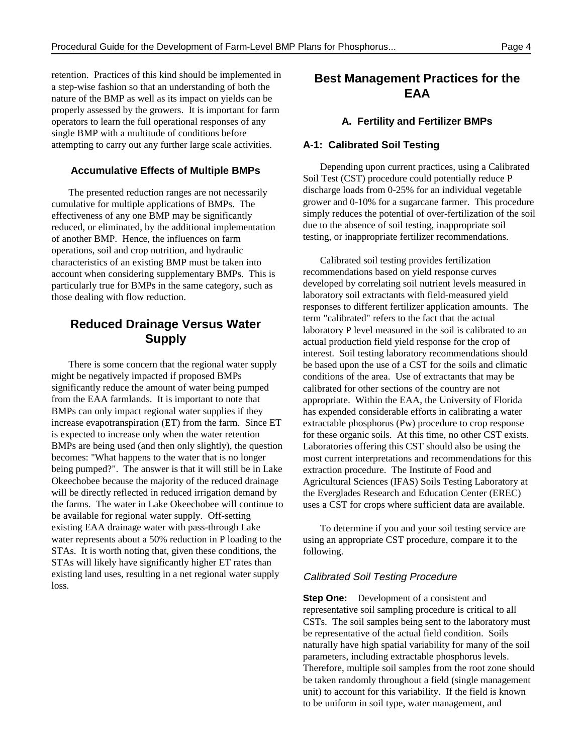retention. Practices of this kind should be implemented in a step-wise fashion so that an understanding of both the nature of the BMP as well as its impact on yields can be properly assessed by the growers. It is important for farm operators to learn the full operational responses of any single BMP with a multitude of conditions before attempting to carry out any further large scale activities.

#### **Accumulative Effects of Multiple BMPs**

The presented reduction ranges are not necessarily cumulative for multiple applications of BMPs. The effectiveness of any one BMP may be significantly reduced, or eliminated, by the additional implementation of another BMP. Hence, the influences on farm operations, soil and crop nutrition, and hydraulic characteristics of an existing BMP must be taken into account when considering supplementary BMPs. This is particularly true for BMPs in the same category, such as those dealing with flow reduction.

# **Reduced Drainage Versus Water Supply**

There is some concern that the regional water supply might be negatively impacted if proposed BMPs significantly reduce the amount of water being pumped from the EAA farmlands. It is important to note that BMPs can only impact regional water supplies if they increase evapotranspiration (ET) from the farm. Since ET is expected to increase only when the water retention BMPs are being used (and then only slightly), the question becomes: "What happens to the water that is no longer being pumped?". The answer is that it will still be in Lake Okeechobee because the majority of the reduced drainage will be directly reflected in reduced irrigation demand by the farms. The water in Lake Okeechobee will continue to be available for regional water supply. Off-setting existing EAA drainage water with pass-through Lake water represents about a 50% reduction in P loading to the STAs. It is worth noting that, given these conditions, the STAs will likely have significantly higher ET rates than existing land uses, resulting in a net regional water supply loss.

# **Best Management Practices for the EAA**

#### **A. Fertility and Fertilizer BMPs**

#### **A-1: Calibrated Soil Testing**

Depending upon current practices, using a Calibrated Soil Test (CST) procedure could potentially reduce P discharge loads from 0-25% for an individual vegetable grower and 0-10% for a sugarcane farmer. This procedure simply reduces the potential of over-fertilization of the soil due to the absence of soil testing, inappropriate soil testing, or inappropriate fertilizer recommendations.

Calibrated soil testing provides fertilization recommendations based on yield response curves developed by correlating soil nutrient levels measured in laboratory soil extractants with field-measured yield responses to different fertilizer application amounts. The term "calibrated" refers to the fact that the actual laboratory P level measured in the soil is calibrated to an actual production field yield response for the crop of interest. Soil testing laboratory recommendations should be based upon the use of a CST for the soils and climatic conditions of the area. Use of extractants that may be calibrated for other sections of the country are not appropriate. Within the EAA, the University of Florida has expended considerable efforts in calibrating a water extractable phosphorus (Pw) procedure to crop response for these organic soils. At this time, no other CST exists. Laboratories offering this CST should also be using the most current interpretations and recommendations for this extraction procedure. The Institute of Food and Agricultural Sciences (IFAS) Soils Testing Laboratory at the Everglades Research and Education Center (EREC) uses a CST for crops where sufficient data are available.

To determine if you and your soil testing service are using an appropriate CST procedure, compare it to the following.

#### Calibrated Soil Testing Procedure

**Step One:** Development of a consistent and representative soil sampling procedure is critical to all CSTs. The soil samples being sent to the laboratory must be representative of the actual field condition. Soils naturally have high spatial variability for many of the soil parameters, including extractable phosphorus levels. Therefore, multiple soil samples from the root zone should be taken randomly throughout a field (single management unit) to account for this variability. If the field is known to be uniform in soil type, water management, and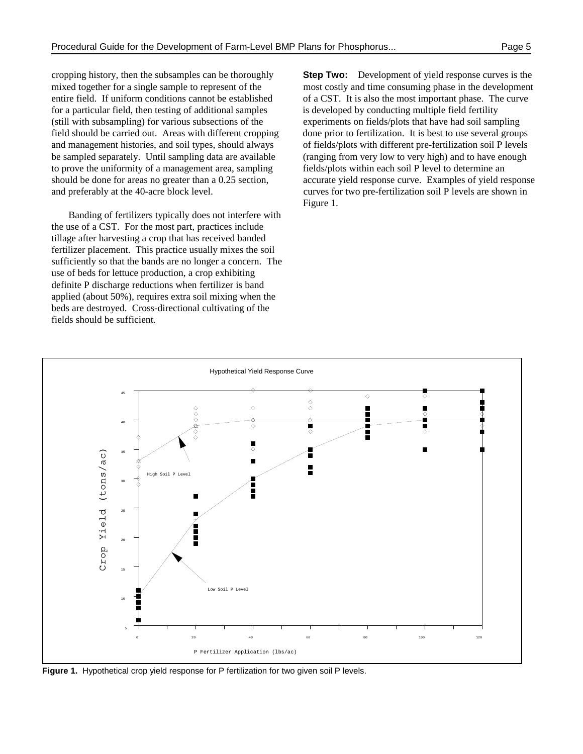entire field. If uniform conditions cannot be established of a CST. It is also the most important phase. The curve for a particular field, then testing of additional samples is developed by conducting multiple field fertility (still with subsampling) for various subsections of the experiments on fields/plots that have had soil sampling field should be carried out. Areas with different cropping done prior to fertilization. It is best to use several groups and management histories, and soil types, should always of fields/plots with different pre-fertilization soil P levels be sampled separately. Until sampling data are available (ranging from very low to very high) and to have enough to prove the uniformity of a management area, sampling fields/plots within each soil P level to determine an and preferably at the 40-acre block level. curves for two pre-fertilization soil P levels are shown in

Banding of fertilizers typically does not interfere with the use of a CST. For the most part, practices include tillage after harvesting a crop that has received banded fertilizer placement. This practice usually mixes the soil sufficiently so that the bands are no longer a concern. The use of beds for lettuce production, a crop exhibiting definite P discharge reductions when fertilizer is band applied (about 50%), requires extra soil mixing when the beds are destroyed. Cross-directional cultivating of the fields should be sufficient.

cropping history, then the subsamples can be thoroughly **Step Two:** Development of yield response curves is the mixed together for a single sample to represent of the most costly and time consuming phase in the development should be done for areas no greater than a 0.25 section, accurate yield response curve. Examples of yield response Figure 1.



**Figure 1.** Hypothetical crop yield response for P fertilization for two given soil P levels.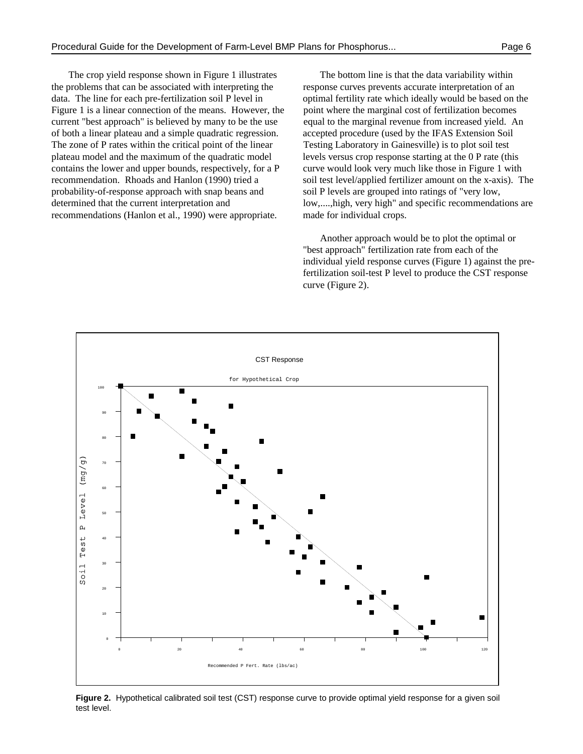the problems that can be associated with interpreting the response curves prevents accurate interpretation of an data. The line for each pre-fertilization soil P level in optimal fertility rate which ideally would be based on the Figure 1 is a linear connection of the means. However, the point where the marginal cost of fertilization becomes current "best approach" is believed by many to be the use equal to the marginal revenue from increased yield. An of both a linear plateau and a simple quadratic regression. accepted procedure (used by the IFAS Extension Soil The zone of P rates within the critical point of the linear Testing Laboratory in Gainesville) is to plot soil test plateau model and the maximum of the quadratic model levels versus crop response starting at the 0 P rate (this contains the lower and upper bounds, respectively, for a  $P$  curve would look very much like those in Figure 1 with recommendation. Rhoads and Hanlon (1990) tried a soil test level/applied fertilizer amount on the x-axis). The probability-of-response approach with snap beans and soil P levels are grouped into ratings of "very low, determined that the current interpretation and low,....,high, very high" and specific recommendations are recommendations (Hanlon et al., 1990) were appropriate. made for individual crops.

The crop yield response shown in Figure 1 illustrates The bottom line is that the data variability within

Another approach would be to plot the optimal or "best approach" fertilization rate from each of the individual yield response curves (Figure 1) against the prefertilization soil-test P level to produce the CST response curve (Figure 2).



**Figure 2.** Hypothetical calibrated soil test (CST) response curve to provide optimal yield response for a given soil test level.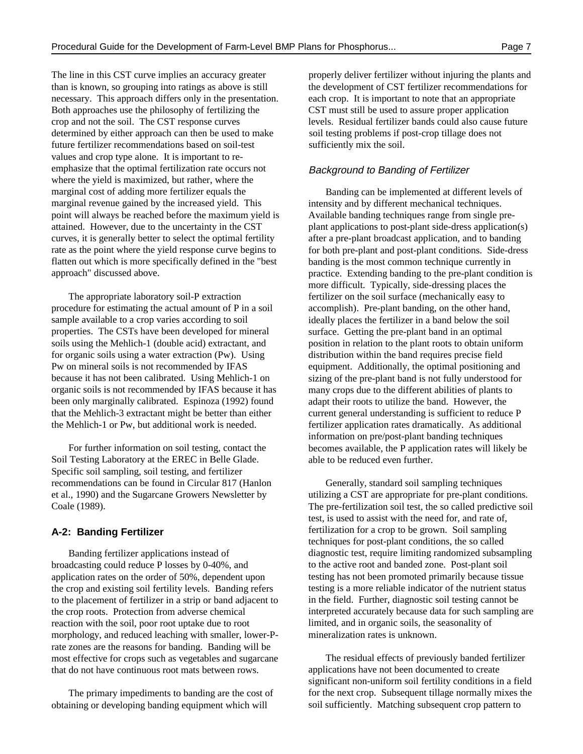The line in this CST curve implies an accuracy greater properly deliver fertilizer without injuring the plants and than is known, so grouping into ratings as above is still the development of CST fertilizer recommendations for necessary. This approach differs only in the presentation. each crop. It is important to note that an appropriate Both approaches use the philosophy of fertilizing the CST must still be used to assure proper application crop and not the soil. The CST response curves levels. Residual fertilizer bands could also cause future determined by either approach can then be used to make soil testing problems if post-crop tillage does not future fertilizer recommendations based on soil-test sufficiently mix the soil. values and crop type alone. It is important to reemphasize that the optimal fertilization rate occurs not where the yield is maximized, but rather, where the marginal cost of adding more fertilizer equals the marginal revenue gained by the increased yield. This point will always be reached before the maximum yield is attained. However, due to the uncertainty in the CST curves, it is generally better to select the optimal fertility rate as the point where the yield response curve begins to flatten out which is more specifically defined in the "best approach" discussed above.

The appropriate laboratory soil-P extraction procedure for estimating the actual amount of P in a soil sample available to a crop varies according to soil properties. The CSTs have been developed for mineral soils using the Mehlich-1 (double acid) extractant, and for organic soils using a water extraction (Pw). Using Pw on mineral soils is not recommended by IFAS because it has not been calibrated. Using Mehlich-1 on organic soils is not recommended by IFAS because it has been only marginally calibrated. Espinoza (1992) found that the Mehlich-3 extractant might be better than either the Mehlich-1 or Pw, but additional work is needed.

For further information on soil testing, contact the Soil Testing Laboratory at the EREC in Belle Glade. Specific soil sampling, soil testing, and fertilizer recommendations can be found in Circular 817 (Hanlon et al., 1990) and the Sugarcane Growers Newsletter by Coale (1989).

#### **A-2: Banding Fertilizer**

Banding fertilizer applications instead of broadcasting could reduce P losses by 0-40%, and application rates on the order of 50%, dependent upon the crop and existing soil fertility levels. Banding refers to the placement of fertilizer in a strip or band adjacent to the crop roots. Protection from adverse chemical reaction with the soil, poor root uptake due to root morphology, and reduced leaching with smaller, lower-Prate zones are the reasons for banding. Banding will be most effective for crops such as vegetables and sugarcane that do not have continuous root mats between rows.

The primary impediments to banding are the cost of obtaining or developing banding equipment which will

#### Background to Banding of Fertilizer

Banding can be implemented at different levels of intensity and by different mechanical techniques. Available banding techniques range from single preplant applications to post-plant side-dress application(s) after a pre-plant broadcast application, and to banding for both pre-plant and post-plant conditions. Side-dress banding is the most common technique currently in practice. Extending banding to the pre-plant condition is more difficult. Typically, side-dressing places the fertilizer on the soil surface (mechanically easy to accomplish). Pre-plant banding, on the other hand, ideally places the fertilizer in a band below the soil surface. Getting the pre-plant band in an optimal position in relation to the plant roots to obtain uniform distribution within the band requires precise field equipment. Additionally, the optimal positioning and sizing of the pre-plant band is not fully understood for many crops due to the different abilities of plants to adapt their roots to utilize the band. However, the current general understanding is sufficient to reduce P fertilizer application rates dramatically. As additional information on pre/post-plant banding techniques becomes available, the P application rates will likely be able to be reduced even further.

Generally, standard soil sampling techniques utilizing a CST are appropriate for pre-plant conditions. The pre-fertilization soil test, the so called predictive soil test, is used to assist with the need for, and rate of, fertilization for a crop to be grown. Soil sampling techniques for post-plant conditions, the so called diagnostic test, require limiting randomized subsampling to the active root and banded zone. Post-plant soil testing has not been promoted primarily because tissue testing is a more reliable indicator of the nutrient status in the field. Further, diagnostic soil testing cannot be interpreted accurately because data for such sampling are limited, and in organic soils, the seasonality of mineralization rates is unknown.

The residual effects of previously banded fertilizer applications have not been documented to create significant non-uniform soil fertility conditions in a field for the next crop. Subsequent tillage normally mixes the soil sufficiently. Matching subsequent crop pattern to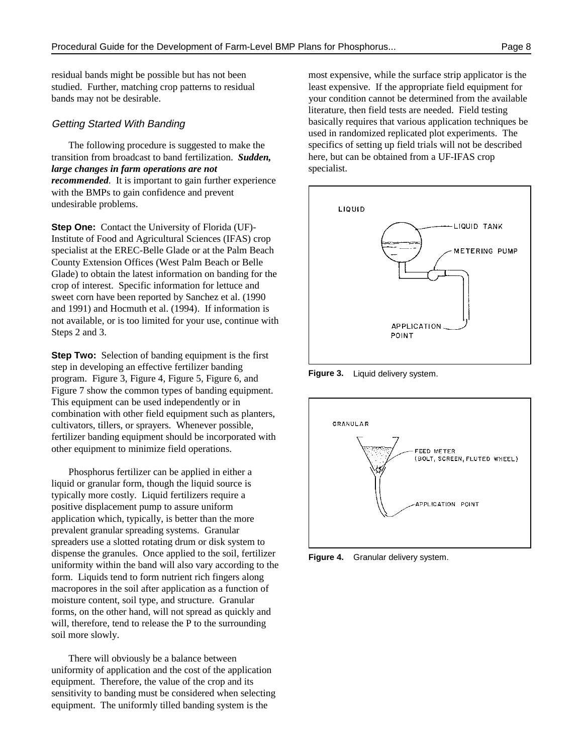The following procedure is suggested to make the transition from broadcast to band fertilization. *Sudden, large changes in farm operations are not recommended*. It is important to gain further experience with the BMPs to gain confidence and prevent undesirable problems.

**Step One:** Contact the University of Florida (UF)-Institute of Food and Agricultural Sciences (IFAS) crop specialist at the EREC-Belle Glade or at the Palm Beach County Extension Offices (West Palm Beach or Belle Glade) to obtain the latest information on banding for the crop of interest. Specific information for lettuce and sweet corn have been reported by Sanchez et al. (1990 and 1991) and Hocmuth et al. (1994). If information is not available, or is too limited for your use, continue with Steps 2 and 3.

**Step Two:** Selection of banding equipment is the first step in developing an effective fertilizer banding program. Figure 3, Figure 4, Figure 5, Figure 6, and Figure 7 show the common types of banding equipment. This equipment can be used independently or in combination with other field equipment such as planters, cultivators, tillers, or sprayers. Whenever possible, fertilizer banding equipment should be incorporated with other equipment to minimize field operations.

Phosphorus fertilizer can be applied in either a liquid or granular form, though the liquid source is typically more costly. Liquid fertilizers require a positive displacement pump to assure uniform application which, typically, is better than the more prevalent granular spreading systems. Granular spreaders use a slotted rotating drum or disk system to dispense the granules. Once applied to the soil, fertilizer uniformity within the band will also vary according to the form. Liquids tend to form nutrient rich fingers along macropores in the soil after application as a function of moisture content, soil type, and structure. Granular forms, on the other hand, will not spread as quickly and will, therefore, tend to release the P to the surrounding soil more slowly.

There will obviously be a balance between uniformity of application and the cost of the application equipment. Therefore, the value of the crop and its sensitivity to banding must be considered when selecting equipment. The uniformly tilled banding system is the

residual bands might be possible but has not been most expensive, while the surface strip applicator is the studied. Further, matching crop patterns to residual least expensive. If the appropriate field equipment for bands may not be desirable. your condition cannot be determined from the available Getting Started With Banding basically requires that various application techniques be literature, then field tests are needed. Field testing used in randomized replicated plot experiments. The specifics of setting up field trials will not be described here, but can be obtained from a UF-IFAS crop specialist.



**Figure 3.** Liquid delivery system.



**Figure 4.** Granular delivery system.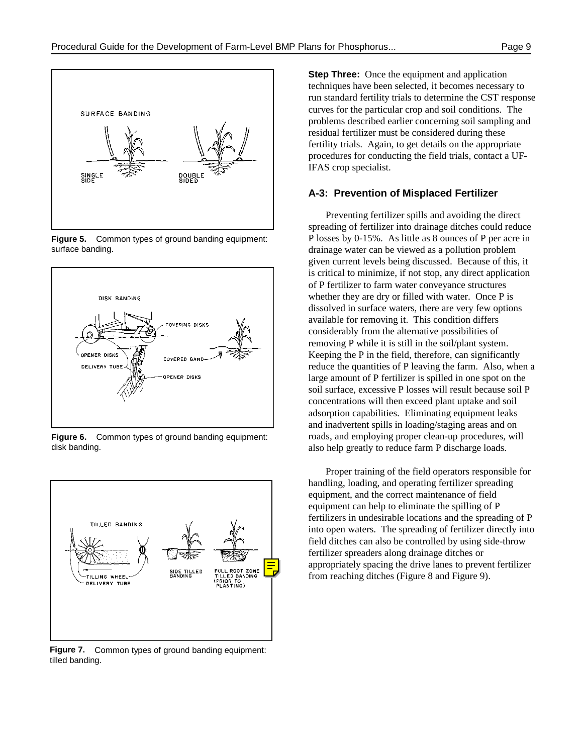

**Figure 5.** Common types of ground banding equipment: surface banding.



**Figure 6.** Common types of ground banding equipment: disk banding.



**Figure 7.** Common types of ground banding equipment: tilled banding.

**Step Three:** Once the equipment and application techniques have been selected, it becomes necessary to run standard fertility trials to determine the CST response curves for the particular crop and soil conditions. The problems described earlier concerning soil sampling and residual fertilizer must be considered during these fertility trials. Again, to get details on the appropriate procedures for conducting the field trials, contact a UF-IFAS crop specialist.

#### **A-3: Prevention of Misplaced Fertilizer**

Preventing fertilizer spills and avoiding the direct spreading of fertilizer into drainage ditches could reduce P losses by 0-15%. As little as 8 ounces of P per acre in drainage water can be viewed as a pollution problem given current levels being discussed. Because of this, it is critical to minimize, if not stop, any direct application of P fertilizer to farm water conveyance structures whether they are dry or filled with water. Once P is dissolved in surface waters, there are very few options available for removing it. This condition differs considerably from the alternative possibilities of removing P while it is still in the soil/plant system. Keeping the P in the field, therefore, can significantly reduce the quantities of P leaving the farm. Also, when a large amount of P fertilizer is spilled in one spot on the soil surface, excessive P losses will result because soil P concentrations will then exceed plant uptake and soil adsorption capabilities. Eliminating equipment leaks and inadvertent spills in loading/staging areas and on roads, and employing proper clean-up procedures, will also help greatly to reduce farm P discharge loads.

Proper training of the field operators responsible for handling, loading, and operating fertilizer spreading equipment, and the correct maintenance of field equipment can help to eliminate the spilling of P fertilizers in undesirable locations and the spreading of P into open waters. The spreading of fertilizer directly into field ditches can also be controlled by using side-throw fertilizer spreaders along drainage ditches or appropriately spacing the drive lanes to prevent fertilizer from reaching ditches (Figure 8 and Figure 9).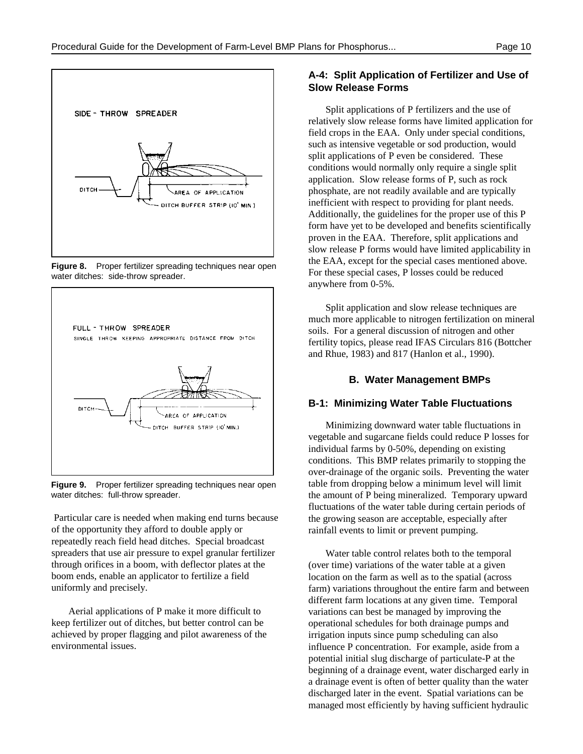

**Figure 8.** Proper fertilizer spreading techniques near open water ditches: side-throw spreader.



**Figure 9.** Proper fertilizer spreading techniques near open water ditches: full-throw spreader.

 Particular care is needed when making end turns because of the opportunity they afford to double apply or repeatedly reach field head ditches. Special broadcast spreaders that use air pressure to expel granular fertilizer through orifices in a boom, with deflector plates at the boom ends, enable an applicator to fertilize a field uniformly and precisely.

Aerial applications of P make it more difficult to keep fertilizer out of ditches, but better control can be achieved by proper flagging and pilot awareness of the environmental issues.

#### **A-4: Split Application of Fertilizer and Use of Slow Release Forms**

Split applications of P fertilizers and the use of relatively slow release forms have limited application for field crops in the EAA. Only under special conditions, such as intensive vegetable or sod production, would split applications of P even be considered. These conditions would normally only require a single split application. Slow release forms of P, such as rock phosphate, are not readily available and are typically inefficient with respect to providing for plant needs. Additionally, the guidelines for the proper use of this P form have yet to be developed and benefits scientifically proven in the EAA. Therefore, split applications and slow release P forms would have limited applicability in the EAA, except for the special cases mentioned above. For these special cases, P losses could be reduced anywhere from 0-5%.

Split application and slow release techniques are much more applicable to nitrogen fertilization on mineral soils. For a general discussion of nitrogen and other fertility topics, please read IFAS Circulars 816 (Bottcher and Rhue, 1983) and 817 (Hanlon et al., 1990).

#### **B. Water Management BMPs**

#### **B-1: Minimizing Water Table Fluctuations**

Minimizing downward water table fluctuations in vegetable and sugarcane fields could reduce P losses for individual farms by 0-50%, depending on existing conditions. This BMP relates primarily to stopping the over-drainage of the organic soils. Preventing the water table from dropping below a minimum level will limit the amount of P being mineralized. Temporary upward fluctuations of the water table during certain periods of the growing season are acceptable, especially after rainfall events to limit or prevent pumping.

Water table control relates both to the temporal (over time) variations of the water table at a given location on the farm as well as to the spatial (across farm) variations throughout the entire farm and between different farm locations at any given time. Temporal variations can best be managed by improving the operational schedules for both drainage pumps and irrigation inputs since pump scheduling can also influence P concentration. For example, aside from a potential initial slug discharge of particulate-P at the beginning of a drainage event, water discharged early in a drainage event is often of better quality than the water discharged later in the event. Spatial variations can be managed most efficiently by having sufficient hydraulic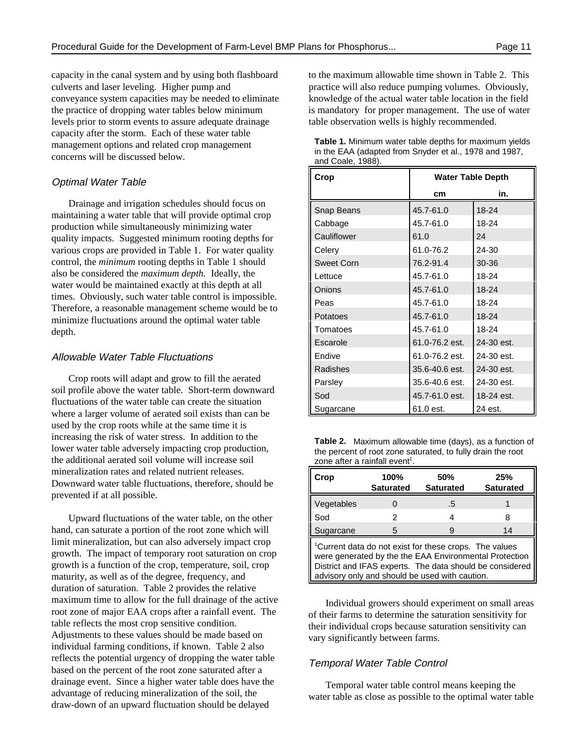capacity in the canal system and by using both flashboard to the maximum allowable time shown in Table 2. This culverts and laser leveling. Higher pump and practice will also reduce pumping volumes. Obviously, conveyance system capacities may be needed to eliminate knowledge of the actual water table location in the field the practice of dropping water tables below minimum is mandatory for proper management. The use of water levels prior to storm events to assure adequate drainage table observation wells is highly recommended. capacity after the storm. Each of these water table management options and related crop management concerns will be discussed below.

#### Optimal Water Table

Drainage and irrigation schedules should focus on maintaining a water table that will provide optimal crop production while simultaneously minimizing water quality impacts. Suggested minimum rooting depths for various crops are provided in Table 1. For water quality control, the *minimum* rooting depths in Table 1 should also be considered the *maximum depth.* Ideally, the water would be maintained exactly at this depth at all times. Obviously, such water table control is impossible. Therefore, a reasonable management scheme would be to minimize fluctuations around the optimal water table depth.

#### Allowable Water Table Fluctuations

 Crop roots will adapt and grow to fill the aerated soil profile above the water table. Short-term downward fluctuations of the water table can create the situation where a larger volume of aerated soil exists than can be used by the crop roots while at the same time it is increasing the risk of water stress. In addition to the lower water table adversely impacting crop production, the additional aerated soil volume will increase soil mineralization rates and related nutrient releases. Downward water table fluctuations, therefore, should be prevented if at all possible.

Upward fluctuations of the water table, on the other hand, can saturate a portion of the root zone which will limit mineralization, but can also adversely impact crop growth. The impact of temporary root saturation on crop growth is a function of the crop, temperature, soil, crop maturity, as well as of the degree, frequency, and duration of saturation. Table 2 provides the relative maximum time to allow for the full drainage of the active root zone of major EAA crops after a rainfall event. The table reflects the most crop sensitive condition. Adjustments to these values should be made based on individual farming conditions, if known. Table 2 also reflects the potential urgency of dropping the water table based on the percent of the root zone saturated after a drainage event. Since a higher water table does have the advantage of reducing mineralization of the soil, the draw-down of an upward fluctuation should be delayed

| <b>Table 1.</b> Minimum water table depths for maximum yields |
|---------------------------------------------------------------|
| in the EAA (adapted from Snyder et al., 1978 and 1987,        |
| and Coale, 1988).                                             |

| Crop              | <b>Water Table Depth</b> |            |
|-------------------|--------------------------|------------|
|                   | cm                       | in.        |
| Snap Beans        | 45.7-61.0                | $18 - 24$  |
| Cabbage           | 45.7-61.0                | 18-24      |
| Cauliflower       | 61.0                     | 24         |
| Celery            | 61.0-76.2                | 24-30      |
| <b>Sweet Corn</b> | 76.2-91.4                | $30 - 36$  |
| Lettuce           | 45.7-61.0                | $18 - 24$  |
| Onions            | 45.7-61.0                | $18 - 24$  |
| Peas              | 45.7-61.0                | 18-24      |
| Potatoes          | 45.7-61.0                | $18 - 24$  |
| Tomatoes          | 45.7-61.0                | $18 - 24$  |
| Escarole          | 61.0-76.2 est.           | 24-30 est. |
| Endive            | 61.0-76.2 est.           | 24-30 est. |
| Radishes          | 35.6-40.6 est.           | 24-30 est. |
| Parsley           | 35.6-40.6 est.           | 24-30 est. |
| Sod               | 45.7-61.0 est.           | 18-24 est. |
| Sugarcane         | 61.0 est.                | 24 est.    |

**Table 2.** Maximum allowable time (days), as a function of the percent of root zone saturated, to fully drain the root zone after a rainfall event<sup>1</sup>.

| Crop                                                                                                                                                                                                                                       | 100%<br><b>Saturated</b> | 50%<br><b>Saturated</b> | 25%<br><b>Saturated</b> |  |  |
|--------------------------------------------------------------------------------------------------------------------------------------------------------------------------------------------------------------------------------------------|--------------------------|-------------------------|-------------------------|--|--|
| Vegetables                                                                                                                                                                                                                                 |                          | .5                      |                         |  |  |
| Sod                                                                                                                                                                                                                                        | 2                        |                         | я                       |  |  |
| Sugarcane                                                                                                                                                                                                                                  | 5                        |                         | 14                      |  |  |
| <sup>1</sup> Current data do not exist for these crops. The values<br>were generated by the the EAA Environmental Protection<br>District and IFAS experts. The data should be considered<br>advisory only and should be used with caution. |                          |                         |                         |  |  |

Individual growers should experiment on small areas of their farms to determine the saturation sensitivity for their individual crops because saturation sensitivity can vary significantly between farms.

#### Temporal Water Table Control

Temporal water table control means keeping the water table as close as possible to the optimal water table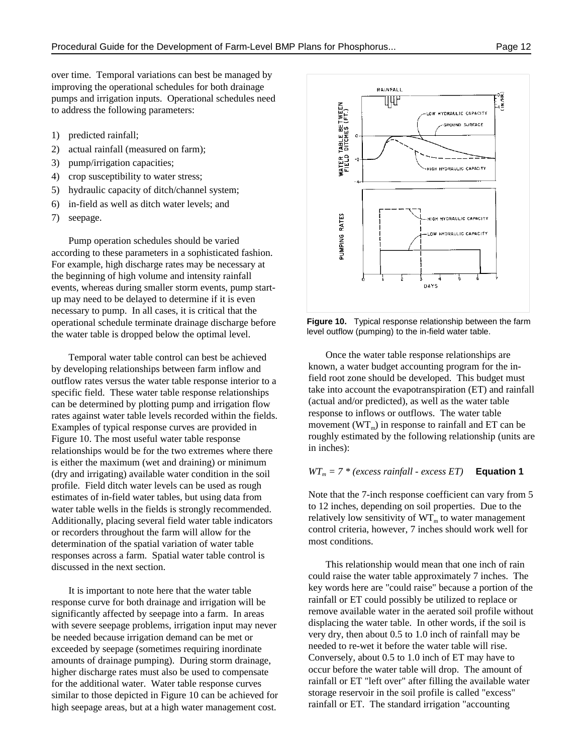over time. Temporal variations can best be managed by improving the operational schedules for both drainage pumps and irrigation inputs. Operational schedules need to address the following parameters:

- 1) predicted rainfall;
- 2) actual rainfall (measured on farm);
- 3) pump/irrigation capacities;
- 4) crop susceptibility to water stress;
- 5) hydraulic capacity of ditch/channel system;
- 6) in-field as well as ditch water levels; and
- 7) seepage.

Pump operation schedules should be varied according to these parameters in a sophisticated fashion. For example, high discharge rates may be necessary at the beginning of high volume and intensity rainfall events, whereas during smaller storm events, pump startup may need to be delayed to determine if it is even necessary to pump. In all cases, it is critical that the operational schedule terminate drainage discharge before the water table is dropped below the optimal level.

Temporal water table control can best be achieved by developing relationships between farm inflow and outflow rates versus the water table response interior to a specific field. These water table response relationships can be determined by plotting pump and irrigation flow rates against water table levels recorded within the fields. Examples of typical response curves are provided in Figure 10. The most useful water table response relationships would be for the two extremes where there is either the maximum (wet and draining) or minimum (dry and irrigating) available water condition in the soil profile. Field ditch water levels can be used as rough estimates of in-field water tables, but using data from water table wells in the fields is strongly recommended. Additionally, placing several field water table indicators or recorders throughout the farm will allow for the determination of the spatial variation of water table responses across a farm. Spatial water table control is discussed in the next section.

It is important to note here that the water table response curve for both drainage and irrigation will be significantly affected by seepage into a farm. In areas with severe seepage problems, irrigation input may never be needed because irrigation demand can be met or exceeded by seepage (sometimes requiring inordinate amounts of drainage pumping). During storm drainage, higher discharge rates must also be used to compensate for the additional water. Water table response curves similar to those depicted in Figure 10 can be achieved for high seepage areas, but at a high water management cost.



**Figure 10.** Typical response relationship between the farm level outflow (pumping) to the in-field water table.

Once the water table response relationships are known, a water budget accounting program for the infield root zone should be developed. This budget must take into account the evapotranspiration (ET) and rainfall (actual and/or predicted), as well as the water table response to inflows or outflows. The water table movement ( $WT<sub>m</sub>$ ) in response to rainfall and ET can be roughly estimated by the following relationship (units are in inches):

#### $WT_m = 7 * (excess rainfall - excess ET)$  **Equation 1**

Note that the 7-inch response coefficient can vary from 5 to 12 inches, depending on soil properties. Due to the relatively low sensitivity of  $WT_m$  to water management control criteria, however, 7 inches should work well for most conditions.

This relationship would mean that one inch of rain could raise the water table approximately 7 inches. The key words here are "could raise" because a portion of the rainfall or ET could possibly be utilized to replace or remove available water in the aerated soil profile without displacing the water table. In other words, if the soil is very dry, then about 0.5 to 1.0 inch of rainfall may be needed to re-wet it before the water table will rise. Conversely, about 0.5 to 1.0 inch of ET may have to occur before the water table will drop. The amount of rainfall or ET "left over" after filling the available water storage reservoir in the soil profile is called "excess" rainfall or ET. The standard irrigation "accounting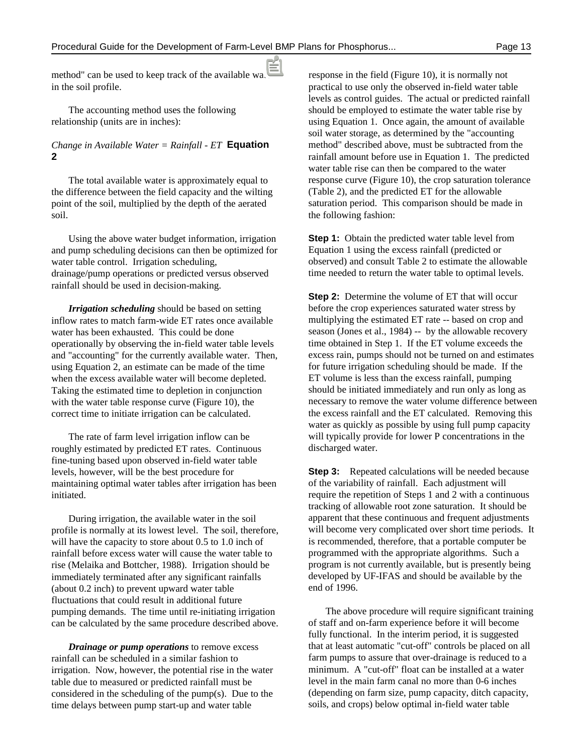method" can be used to keep track of the available water response in the field (Figure 10), it is normally not in the soil profile. **profile** profile to use only the observed in-field water table

# **2**

The total available water is approximately equal to the difference between the field capacity and the wilting point of the soil, multiplied by the depth of the aerated soil.

Using the above water budget information, irrigation and pump scheduling decisions can then be optimized for water table control. Irrigation scheduling, drainage/pump operations or predicted versus observed rainfall should be used in decision-making.

*Irrigation scheduling* should be based on setting inflow rates to match farm-wide ET rates once available water has been exhausted. This could be done operationally by observing the in-field water table levels and "accounting" for the currently available water. Then, using Equation 2, an estimate can be made of the time when the excess available water will become depleted. Taking the estimated time to depletion in conjunction with the water table response curve (Figure 10), the correct time to initiate irrigation can be calculated.

The rate of farm level irrigation inflow can be roughly estimated by predicted ET rates. Continuous fine-tuning based upon observed in-field water table levels, however, will be the best procedure for maintaining optimal water tables after irrigation has been initiated.

During irrigation, the available water in the soil profile is normally at its lowest level. The soil, therefore, will have the capacity to store about 0.5 to 1.0 inch of rainfall before excess water will cause the water table to rise (Melaika and Bottcher, 1988). Irrigation should be immediately terminated after any significant rainfalls (about 0.2 inch) to prevent upward water table fluctuations that could result in additional future pumping demands. The time until re-initiating irrigation can be calculated by the same procedure described above.

*Drainage or pump operations* to remove excess rainfall can be scheduled in a similar fashion to irrigation. Now, however, the potential rise in the water table due to measured or predicted rainfall must be considered in the scheduling of the pump(s). Due to the time delays between pump start-up and water table

The accounting method uses the following should be employed to estimate the water table rise by relationship (units are in inches): using Equation 1. Once again, the amount of available *Change in Available Water = Rainfall - ET* **Equation** method" described above, must be subtracted from the levels as control guides. The actual or predicted rainfall soil water storage, as determined by the "accounting rainfall amount before use in Equation 1. The predicted water table rise can then be compared to the water response curve (Figure 10), the crop saturation tolerance (Table 2), and the predicted ET for the allowable saturation period. This comparison should be made in the following fashion:

> **Step 1:** Obtain the predicted water table level from Equation 1 using the excess rainfall (predicted or observed) and consult Table 2 to estimate the allowable time needed to return the water table to optimal levels.

**Step 2:** Determine the volume of ET that will occur before the crop experiences saturated water stress by multiplying the estimated ET rate -- based on crop and season (Jones et al., 1984) -- by the allowable recovery time obtained in Step 1. If the ET volume exceeds the excess rain, pumps should not be turned on and estimates for future irrigation scheduling should be made. If the ET volume is less than the excess rainfall, pumping should be initiated immediately and run only as long as necessary to remove the water volume difference between the excess rainfall and the ET calculated. Removing this water as quickly as possible by using full pump capacity will typically provide for lower P concentrations in the discharged water.

**Step 3:** Repeated calculations will be needed because of the variability of rainfall. Each adjustment will require the repetition of Steps 1 and 2 with a continuous tracking of allowable root zone saturation. It should be apparent that these continuous and frequent adjustments will become very complicated over short time periods. It is recommended, therefore, that a portable computer be programmed with the appropriate algorithms. Such a program is not currently available, but is presently being developed by UF-IFAS and should be available by the end of 1996.

The above procedure will require significant training of staff and on-farm experience before it will become fully functional. In the interim period, it is suggested that at least automatic "cut-off" controls be placed on all farm pumps to assure that over-drainage is reduced to a minimum. A "cut-off" float can be installed at a water level in the main farm canal no more than 0-6 inches (depending on farm size, pump capacity, ditch capacity, soils, and crops) below optimal in-field water table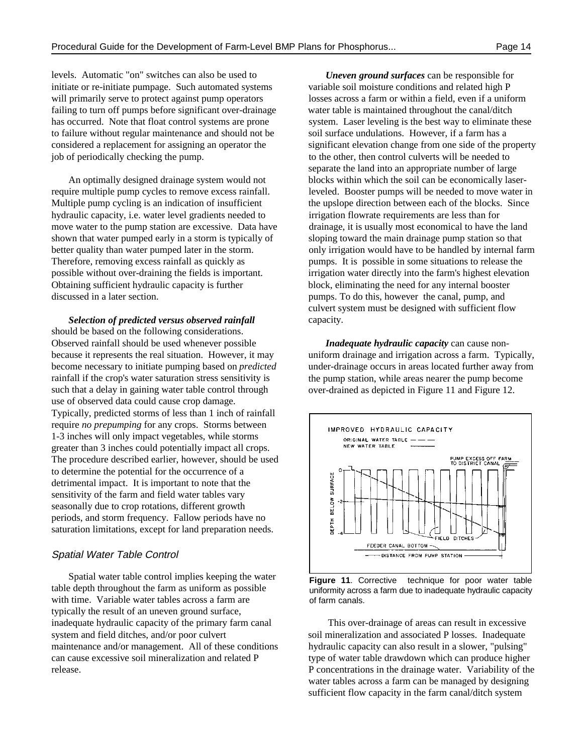levels. Automatic "on" switches can also be used to initiate or re-initiate pumpage. Such automated systems variable soil moisture conditions and related high P will primarily serve to protect against pump operators losses across a farm or within a field, even if a uniform failing to turn off pumps before significant over-drainage water table is maintained throughout the canal/ditch has occurred. Note that float control systems are prone system. Laser leveling is the best way to eliminate these to failure without regular maintenance and should not be soil surface undulations. However, if a farm has a considered a replacement for assigning an operator the significant elevation change from one side of the property job of periodically checking the pump. to the other, then control culverts will be needed to

Multiple pump cycling is an indication of insufficient the upslope direction between each of the blocks. Since hydraulic capacity, i.e. water level gradients needed to irrigation flowrate requirements are less than for move water to the pump station are excessive. Data have drainage, it is usually most economical to have the land shown that water pumped early in a storm is typically of sloping toward the main drainage pump station so that Therefore, removing excess rainfall as quickly as pumps. It is possible in some situations to release the possible without over-draining the fields is important. irrigation water directly into the farm's highest elevation Obtaining sufficient hydraulic capacity is further block, eliminating the need for any internal booster discussed in a later section. pumps. To do this, however the canal, pump, and

*Selection of predicted versus observed rainfall* should be based on the following considerations. Observed rainfall should be used whenever possible because it represents the real situation. However, it may become necessary to initiate pumping based on *predicted* rainfall if the crop's water saturation stress sensitivity is such that a delay in gaining water table control through use of observed data could cause crop damage. Typically, predicted storms of less than 1 inch of rainfall require *no prepumping* for any crops. Storms between 1-3 inches will only impact vegetables, while storms greater than 3 inches could potentially impact all crops. The procedure described earlier, however, should be used to determine the potential for the occurrence of a detrimental impact. It is important to note that the sensitivity of the farm and field water tables vary seasonally due to crop rotations, different growth periods, and storm frequency. Fallow periods have no saturation limitations, except for land preparation needs.

#### Spatial Water Table Control

Spatial water table control implies keeping the water table depth throughout the farm as uniform as possible with time. Variable water tables across a farm are typically the result of an uneven ground surface, inadequate hydraulic capacity of the primary farm canal This over-drainage of areas can result in excessive system and field ditches, and/or poor culvert soil mineralization and associated P losses. Inadequate maintenance and/or management. All of these conditions hydraulic capacity can also result in a slower, "pulsing" can cause excessive soil mineralization and related P type of water table drawdown which can produce higher release. P concentrations in the drainage water. Variability of the

An optimally designed drainage system would not blocks within which the soil can be economically laserrequire multiple pump cycles to remove excess rainfall. leveled. Booster pumps will be needed to move water in better quality than water pumped later in the storm.  $\qquad \qquad$  only irrigation would have to be handled by internal farm *Uneven ground surfaces* can be responsible for separate the land into an appropriate number of large culvert system must be designed with sufficient flow capacity.

> *Inadequate hydraulic capacity* can cause nonuniform drainage and irrigation across a farm. Typically, under-drainage occurs in areas located further away from the pump station, while areas nearer the pump become over-drained as depicted in Figure 11 and Figure 12.



Figure 11. Corrective technique for poor water table uniformity across a farm due to inadequate hydraulic capacity of farm canals.

water tables across a farm can be managed by designing sufficient flow capacity in the farm canal/ditch system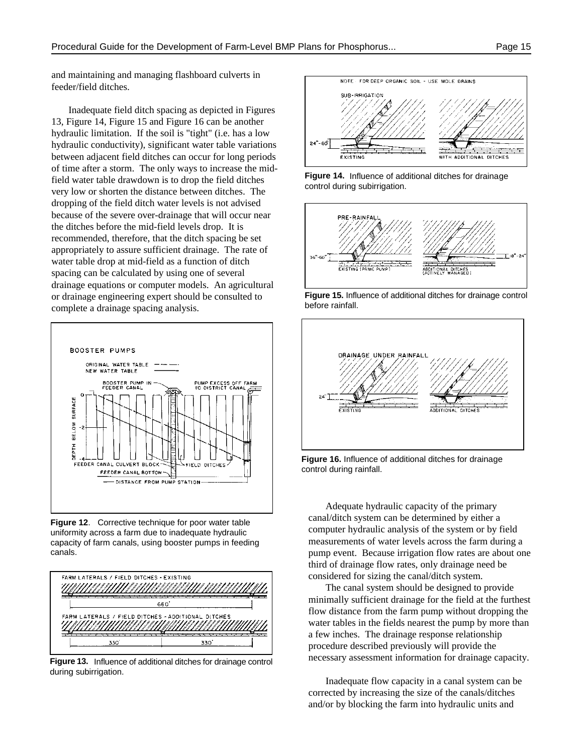and maintaining and managing flashboard culverts in feeder/field ditches.

Inadequate field ditch spacing as depicted in Figures 13, Figure 14, Figure 15 and Figure 16 can be another hydraulic limitation. If the soil is "tight" (i.e. has a low hydraulic conductivity), significant water table variations between adjacent field ditches can occur for long periods of time after a storm. The only ways to increase the midfield water table drawdown is to drop the field ditches very low or shorten the distance between ditches. The dropping of the field ditch water levels is not advised because of the severe over-drainage that will occur near the ditches before the mid-field levels drop. It is recommended, therefore, that the ditch spacing be set appropriately to assure sufficient drainage. The rate of water table drop at mid-field as a function of ditch spacing can be calculated by using one of several drainage equations or computer models. An agricultural or drainage engineering expert should be consulted to complete a drainage spacing analysis.



**Figure 12**. Corrective technique for poor water table uniformity across a farm due to inadequate hydraulic capacity of farm canals, using booster pumps in feeding canals.



**Figure 13.** Influence of additional ditches for drainage control during subirrigation.



**Figure 14.** Influence of additional ditches for drainage control during subirrigation.



**Figure 15.** Influence of additional ditches for drainage control before rainfall.



**Figure 16.** Influence of additional ditches for drainage control during rainfall.

 third of drainage flow rates, only drainage need be Adequate hydraulic capacity of the primary canal/ditch system can be determined by either a computer hydraulic analysis of the system or by field measurements of water levels across the farm during a pump event. Because irrigation flow rates are about one considered for sizing the canal/ditch system.

The canal system should be designed to provide minimally sufficient drainage for the field at the furthest flow distance from the farm pump without dropping the water tables in the fields nearest the pump by more than a few inches. The drainage response relationship procedure described previously will provide the necessary assessment information for drainage capacity.

Inadequate flow capacity in a canal system can be corrected by increasing the size of the canals/ditches and/or by blocking the farm into hydraulic units and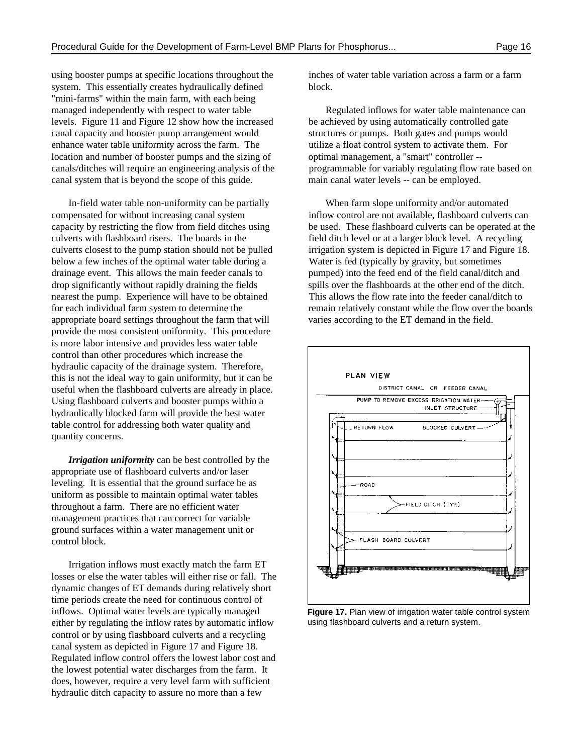using booster pumps at specific locations throughout the inches of water table variation across a farm or a farm system. This essentially creates hydraulically defined block. "mini-farms" within the main farm, with each being managed independently with respect to water table Regulated inflows for water table maintenance can levels. Figure 11 and Figure 12 show how the increased be achieved by using automatically controlled gate canal capacity and booster pump arrangement would structures or pumps. Both gates and pumps would enhance water table uniformity across the farm. The utilize a float control system to activate them. For location and number of booster pumps and the sizing of optimal management, a "smart" controller -canals/ditches will require an engineering analysis of the programmable for variably regulating flow rate based on canal system that is beyond the scope of this guide. main canal water levels -- can be employed.

compensated for without increasing canal system inflow control are not available, flashboard culverts can culverts with flashboard risers. The boards in the field ditch level or at a larger block level. A recycling culverts closest to the pump station should not be pulled irrigation system is depicted in Figure 17 and Figure 18. below a few inches of the optimal water table during a Water is fed (typically by gravity, but sometimes drainage event. This allows the main feeder canals to pumped) into the feed end of the field canal/ditch and drop significantly without rapidly draining the fields spills over the flashboards at the other end of the ditch. nearest the pump. Experience will have to be obtained This allows the flow rate into the feeder canal/ditch to appropriate board settings throughout the farm that will varies according to the ET demand in the field. provide the most consistent uniformity. This procedure is more labor intensive and provides less water table control than other procedures which increase the hydraulic capacity of the drainage system. Therefore, this is not the ideal way to gain uniformity, but it can be useful when the flashboard culverts are already in place. Using flashboard culverts and booster pumps within a hydraulically blocked farm will provide the best water table control for addressing both water quality and quantity concerns.

*Irrigation uniformity* can be best controlled by the appropriate use of flashboard culverts and/or laser leveling. It is essential that the ground surface be as uniform as possible to maintain optimal water tables throughout a farm. There are no efficient water management practices that can correct for variable ground surfaces within a water management unit or control block.

Irrigation inflows must exactly match the farm ET losses or else the water tables will either rise or fall. The dynamic changes of ET demands during relatively short time periods create the need for continuous control of inflows. Optimal water levels are typically managed either by regulating the inflow rates by automatic inflow control or by using flashboard culverts and a recycling canal system as depicted in Figure 17 and Figure 18. Regulated inflow control offers the lowest labor cost and the lowest potential water discharges from the farm. It does, however, require a very level farm with sufficient hydraulic ditch capacity to assure no more than a few

In-field water table non-uniformity can be partially When farm slope uniformity and/or automated capacity by restricting the flow from field ditches using be used. These flashboard culverts can be operated at the for each individual farm system to determine the remain relatively constant while the flow over the boards



**Figure 17.** Plan view of irrigation water table control system using flashboard culverts and a return system.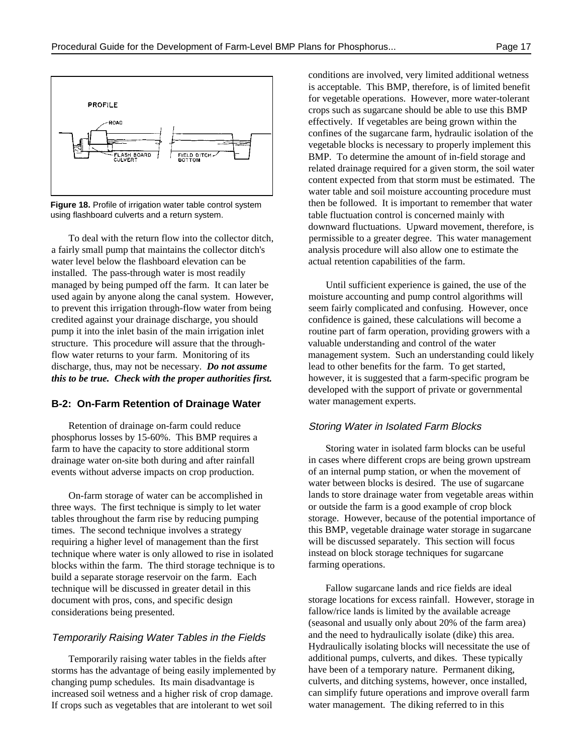

**Figure 18.** Profile of irrigation water table control system using flashboard culverts and a return system.

a fairly small pump that maintains the collector ditch's analysis procedure will also allow one to estimate the water level below the flashboard elevation can be actual retention capabilities of the farm. installed. The pass-through water is most readily managed by being pumped off the farm. It can later be Until sufficient experience is gained, the use of the used again by anyone along the canal system. However, moisture accounting and pump control algorithms will to prevent this irrigation through-flow water from being seem fairly complicated and confusing. However, once credited against your drainage discharge, you should confidence is gained, these calculations will become a pump it into the inlet basin of the main irrigation inlet routine part of farm operation, providing growers with a structure. This procedure will assure that the through- valuable understanding and control of the water discharge, thus, may not be necessary. *Do not assume this to be true. Check with the proper authorities first.*

#### **B-2: On-Farm Retention of Drainage Water**

Retention of drainage on-farm could reduce phosphorus losses by 15-60%. This BMP requires a farm to have the capacity to store additional storm drainage water on-site both during and after rainfall events without adverse impacts on crop production.

On-farm storage of water can be accomplished in three ways. The first technique is simply to let water tables throughout the farm rise by reducing pumping times. The second technique involves a strategy requiring a higher level of management than the first technique where water is only allowed to rise in isolated blocks within the farm. The third storage technique is to build a separate storage reservoir on the farm. Each technique will be discussed in greater detail in this document with pros, cons, and specific design considerations being presented.

#### Temporarily Raising Water Tables in the Fields

Temporarily raising water tables in the fields after storms has the advantage of being easily implemented by changing pump schedules. Its main disadvantage is increased soil wetness and a higher risk of crop damage. If crops such as vegetables that are intolerant to wet soil

To deal with the return flow into the collector ditch, permissible to a greater degree. This water management conditions are involved, very limited additional wetness is acceptable. This BMP, therefore, is of limited benefit for vegetable operations. However, more water-tolerant crops such as sugarcane should be able to use this BMP effectively. If vegetables are being grown within the confines of the sugarcane farm, hydraulic isolation of the vegetable blocks is necessary to properly implement this BMP. To determine the amount of in-field storage and related drainage required for a given storm, the soil water content expected from that storm must be estimated. The water table and soil moisture accounting procedure must then be followed. It is important to remember that water table fluctuation control is concerned mainly with downward fluctuations. Upward movement, therefore, is

flow water returns to your farm. Monitoring of its management system. Such an understanding could likely lead to other benefits for the farm. To get started, however, it is suggested that a farm-specific program be developed with the support of private or governmental water management experts.

#### Storing Water in Isolated Farm Blocks

Storing water in isolated farm blocks can be useful in cases where different crops are being grown upstream of an internal pump station, or when the movement of water between blocks is desired. The use of sugarcane lands to store drainage water from vegetable areas within or outside the farm is a good example of crop block storage. However, because of the potential importance of this BMP, vegetable drainage water storage in sugarcane will be discussed separately. This section will focus instead on block storage techniques for sugarcane farming operations.

Fallow sugarcane lands and rice fields are ideal storage locations for excess rainfall. However, storage in fallow/rice lands is limited by the available acreage (seasonal and usually only about 20% of the farm area) and the need to hydraulically isolate (dike) this area. Hydraulically isolating blocks will necessitate the use of additional pumps, culverts, and dikes. These typically have been of a temporary nature. Permanent diking, culverts, and ditching systems, however, once installed, can simplify future operations and improve overall farm water management. The diking referred to in this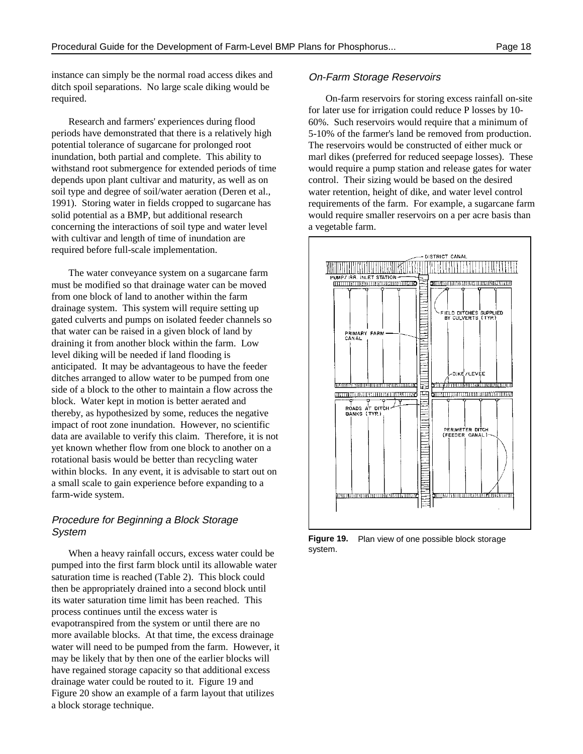instance can simply be the normal road access dikes and ditch spoil separations. No large scale diking would be required.

Research and farmers' experiences during flood periods have demonstrated that there is a relatively high potential tolerance of sugarcane for prolonged root inundation, both partial and complete. This ability to withstand root submergence for extended periods of time depends upon plant cultivar and maturity, as well as on soil type and degree of soil/water aeration (Deren et al., 1991). Storing water in fields cropped to sugarcane has solid potential as a BMP, but additional research concerning the interactions of soil type and water level with cultivar and length of time of inundation are required before full-scale implementation.

The water conveyance system on a sugarcane farm must be modified so that drainage water can be moved from one block of land to another within the farm drainage system. This system will require setting up gated culverts and pumps on isolated feeder channels so that water can be raised in a given block of land by draining it from another block within the farm. Low level diking will be needed if land flooding is anticipated. It may be advantageous to have the feeder ditches arranged to allow water to be pumped from one side of a block to the other to maintain a flow across the block. Water kept in motion is better aerated and thereby, as hypothesized by some, reduces the negative impact of root zone inundation. However, no scientific data are available to verify this claim. Therefore, it is not yet known whether flow from one block to another on a rotational basis would be better than recycling water within blocks. In any event, it is advisable to start out on a small scale to gain experience before expanding to a farm-wide system.

#### Procedure for Beginning a Block Storage System

When a heavy rainfall occurs, excess water could be pumped into the first farm block until its allowable water saturation time is reached (Table 2). This block could then be appropriately drained into a second block until its water saturation time limit has been reached. This process continues until the excess water is evapotranspired from the system or until there are no more available blocks. At that time, the excess drainage water will need to be pumped from the farm. However, it may be likely that by then one of the earlier blocks will have regained storage capacity so that additional excess drainage water could be routed to it. Figure 19 and Figure 20 show an example of a farm layout that utilizes a block storage technique.

#### On-Farm Storage Reservoirs

On-farm reservoirs for storing excess rainfall on-site for later use for irrigation could reduce P losses by 10- 60%. Such reservoirs would require that a minimum of 5-10% of the farmer's land be removed from production. The reservoirs would be constructed of either muck or marl dikes (preferred for reduced seepage losses). These would require a pump station and release gates for water control. Their sizing would be based on the desired water retention, height of dike, and water level control requirements of the farm. For example, a sugarcane farm would require smaller reservoirs on a per acre basis than a vegetable farm.



**Figure 19.** Plan view of one possible block storage system.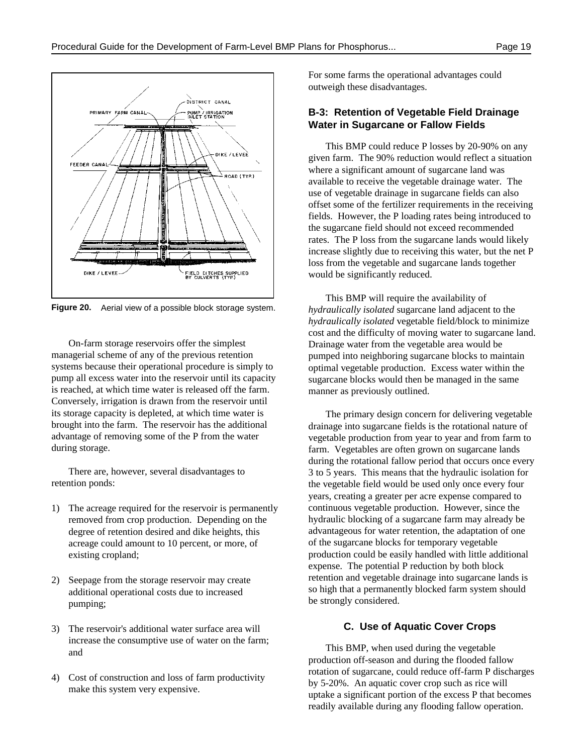

**Figure 20.** Aerial view of a possible block storage system.

On-farm storage reservoirs offer the simplest managerial scheme of any of the previous retention systems because their operational procedure is simply to pump all excess water into the reservoir until its capacity is reached, at which time water is released off the farm. Conversely, irrigation is drawn from the reservoir until its storage capacity is depleted, at which time water is brought into the farm. The reservoir has the additional advantage of removing some of the P from the water during storage.

There are, however, several disadvantages to retention ponds:

- 1) The acreage required for the reservoir is permanently removed from crop production. Depending on the degree of retention desired and dike heights, this acreage could amount to 10 percent, or more, of existing cropland;
- Seepage from the storage reservoir may create additional operational costs due to increased pumping;
- 3) The reservoir's additional water surface area will increase the consumptive use of water on the farm; and
- 4) Cost of construction and loss of farm productivity make this system very expensive.

For some farms the operational advantages could outweigh these disadvantages.

#### **B-3: Retention of Vegetable Field Drainage Water in Sugarcane or Fallow Fields**

This BMP could reduce P losses by 20-90% on any given farm. The 90% reduction would reflect a situation where a significant amount of sugarcane land was available to receive the vegetable drainage water. The use of vegetable drainage in sugarcane fields can also offset some of the fertilizer requirements in the receiving fields. However, the P loading rates being introduced to the sugarcane field should not exceed recommended rates. The P loss from the sugarcane lands would likely increase slightly due to receiving this water, but the net P loss from the vegetable and sugarcane lands together would be significantly reduced.

This BMP will require the availability of *hydraulically isolated* sugarcane land adjacent to the *hydraulically isolated* vegetable field/block to minimize cost and the difficulty of moving water to sugarcane land. Drainage water from the vegetable area would be pumped into neighboring sugarcane blocks to maintain optimal vegetable production. Excess water within the sugarcane blocks would then be managed in the same manner as previously outlined.

The primary design concern for delivering vegetable drainage into sugarcane fields is the rotational nature of vegetable production from year to year and from farm to farm. Vegetables are often grown on sugarcane lands during the rotational fallow period that occurs once every 3 to 5 years. This means that the hydraulic isolation for the vegetable field would be used only once every four years, creating a greater per acre expense compared to continuous vegetable production. However, since the hydraulic blocking of a sugarcane farm may already be advantageous for water retention, the adaptation of one of the sugarcane blocks for temporary vegetable production could be easily handled with little additional expense. The potential P reduction by both block retention and vegetable drainage into sugarcane lands is so high that a permanently blocked farm system should be strongly considered.

#### **C. Use of Aquatic Cover Crops**

This BMP, when used during the vegetable production off-season and during the flooded fallow rotation of sugarcane, could reduce off-farm P discharges by 5-20%. An aquatic cover crop such as rice will uptake a significant portion of the excess P that becomes readily available during any flooding fallow operation.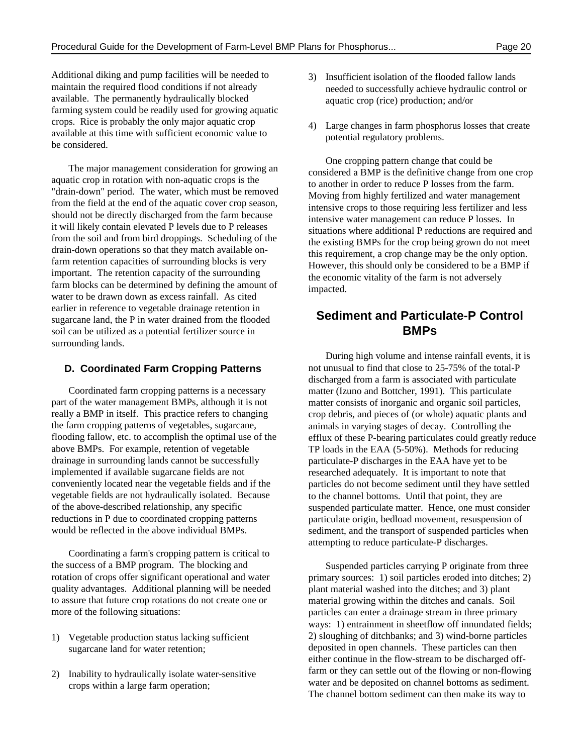Additional diking and pump facilities will be needed to maintain the required flood conditions if not already available. The permanently hydraulically blocked farming system could be readily used for growing aquatic crops. Rice is probably the only major aquatic crop available at this time with sufficient economic value to be considered.

The major management consideration for growing an aquatic crop in rotation with non-aquatic crops is the "drain-down" period. The water, which must be removed from the field at the end of the aquatic cover crop season, should not be directly discharged from the farm because it will likely contain elevated P levels due to P releases from the soil and from bird droppings. Scheduling of the drain-down operations so that they match available onfarm retention capacities of surrounding blocks is very important. The retention capacity of the surrounding farm blocks can be determined by defining the amount of water to be drawn down as excess rainfall. As cited earlier in reference to vegetable drainage retention in sugarcane land, the P in water drained from the flooded soil can be utilized as a potential fertilizer source in surrounding lands.

#### **D. Coordinated Farm Cropping Patterns**

Coordinated farm cropping patterns is a necessary part of the water management BMPs, although it is not really a BMP in itself. This practice refers to changing the farm cropping patterns of vegetables, sugarcane, flooding fallow, etc. to accomplish the optimal use of the above BMPs. For example, retention of vegetable drainage in surrounding lands cannot be successfully implemented if available sugarcane fields are not conveniently located near the vegetable fields and if the vegetable fields are not hydraulically isolated. Because of the above-described relationship, any specific reductions in P due to coordinated cropping patterns would be reflected in the above individual BMPs.

Coordinating a farm's cropping pattern is critical to the success of a BMP program. The blocking and rotation of crops offer significant operational and water quality advantages. Additional planning will be needed to assure that future crop rotations do not create one or more of the following situations:

- 1) Vegetable production status lacking sufficient sugarcane land for water retention;
- 2) Inability to hydraulically isolate water-sensitive crops within a large farm operation;
- 3) Insufficient isolation of the flooded fallow lands needed to successfully achieve hydraulic control or aquatic crop (rice) production; and/or
- 4) Large changes in farm phosphorus losses that create potential regulatory problems.

One cropping pattern change that could be considered a BMP is the definitive change from one crop to another in order to reduce P losses from the farm. Moving from highly fertilized and water management intensive crops to those requiring less fertilizer and less intensive water management can reduce P losses. In situations where additional P reductions are required and the existing BMPs for the crop being grown do not meet this requirement, a crop change may be the only option. However, this should only be considered to be a BMP if the economic vitality of the farm is not adversely impacted.

# **Sediment and Particulate-P Control BMPs**

During high volume and intense rainfall events, it is not unusual to find that close to 25-75% of the total-P discharged from a farm is associated with particulate matter (Izuno and Bottcher, 1991). This particulate matter consists of inorganic and organic soil particles, crop debris, and pieces of (or whole) aquatic plants and animals in varying stages of decay. Controlling the efflux of these P-bearing particulates could greatly reduce TP loads in the EAA (5-50%). Methods for reducing particulate-P discharges in the EAA have yet to be researched adequately. It is important to note that particles do not become sediment until they have settled to the channel bottoms. Until that point, they are suspended particulate matter. Hence, one must consider particulate origin, bedload movement, resuspension of sediment, and the transport of suspended particles when attempting to reduce particulate-P discharges.

Suspended particles carrying P originate from three primary sources: 1) soil particles eroded into ditches; 2) plant material washed into the ditches; and 3) plant material growing within the ditches and canals. Soil particles can enter a drainage stream in three primary ways: 1) entrainment in sheetflow off innundated fields; 2) sloughing of ditchbanks; and 3) wind-borne particles deposited in open channels. These particles can then either continue in the flow-stream to be discharged offfarm or they can settle out of the flowing or non-flowing water and be deposited on channel bottoms as sediment. The channel bottom sediment can then make its way to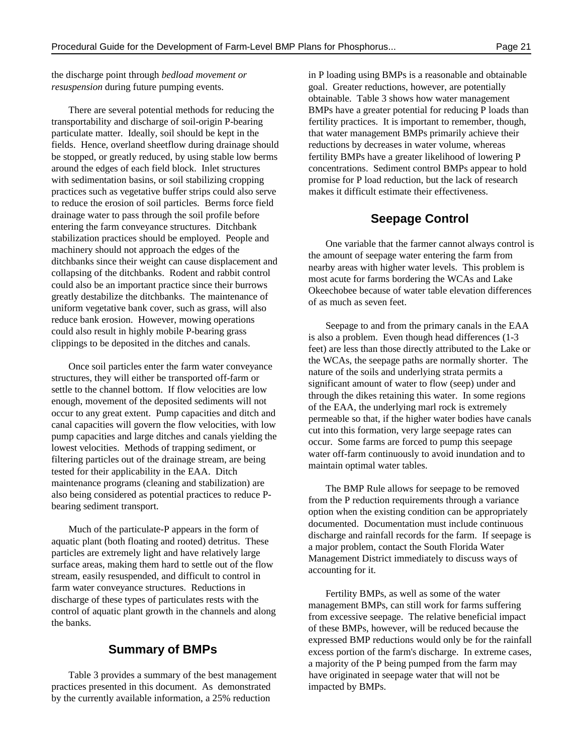*resuspension* during future pumping events. goal. Greater reductions, however, are potentially

transportability and discharge of soil-origin P-bearing fertility practices. It is important to remember, though, particulate matter. Ideally, soil should be kept in the that water management BMPs primarily achieve their fields. Hence, overland sheetflow during drainage should reductions by decreases in water volume, whereas be stopped, or greatly reduced, by using stable low berms fertility BMPs have a greater likelihood of lowering P around the edges of each field block. Inlet structures concentrations. Sediment control BMPs appear to hold with sedimentation basins, or soil stabilizing cropping promise for P load reduction, but the lack of research practices such as vegetative buffer strips could also serve makes it difficult estimate their effectiveness. to reduce the erosion of soil particles. Berms force field drainage water to pass through the soil profile before entering the farm conveyance structures. Ditchbank stabilization practices should be employed. People and machinery should not approach the edges of the ditchbanks since their weight can cause displacement and collapsing of the ditchbanks. Rodent and rabbit control could also be an important practice since their burrows greatly destabilize the ditchbanks. The maintenance of uniform vegetative bank cover, such as grass, will also reduce bank erosion. However, mowing operations could also result in highly mobile P-bearing grass clippings to be deposited in the ditches and canals.

Once soil particles enter the farm water conveyance structures, they will either be transported off-farm or settle to the channel bottom. If flow velocities are low enough, movement of the deposited sediments will not occur to any great extent. Pump capacities and ditch and canal capacities will govern the flow velocities, with low pump capacities and large ditches and canals yielding the lowest velocities. Methods of trapping sediment, or filtering particles out of the drainage stream, are being tested for their applicability in the EAA. Ditch maintenance programs (cleaning and stabilization) are also being considered as potential practices to reduce Pbearing sediment transport.

Much of the particulate-P appears in the form of aquatic plant (both floating and rooted) detritus. These particles are extremely light and have relatively large surface areas, making them hard to settle out of the flow stream, easily resuspended, and difficult to control in farm water conveyance structures. Reductions in discharge of these types of particulates rests with the control of aquatic plant growth in the channels and along the banks.

#### **Summary of BMPs**

practices presented in this document. As demonstrated impacted by BMPs. by the currently available information, a 25% reduction

the discharge point through *bedload movement or* in P loading using BMPs is a reasonable and obtainable There are several potential methods for reducing the BMPs have a greater potential for reducing P loads than obtainable. Table 3 shows how water management

#### **Seepage Control**

One variable that the farmer cannot always control is the amount of seepage water entering the farm from nearby areas with higher water levels. This problem is most acute for farms bordering the WCAs and Lake Okeechobee because of water table elevation differences of as much as seven feet.

Seepage to and from the primary canals in the EAA is also a problem. Even though head differences (1-3 feet) are less than those directly attributed to the Lake or the WCAs, the seepage paths are normally shorter. The nature of the soils and underlying strata permits a significant amount of water to flow (seep) under and through the dikes retaining this water. In some regions of the EAA, the underlying marl rock is extremely permeable so that, if the higher water bodies have canals cut into this formation, very large seepage rates can occur. Some farms are forced to pump this seepage water off-farm continuously to avoid inundation and to maintain optimal water tables.

The BMP Rule allows for seepage to be removed from the P reduction requirements through a variance option when the existing condition can be appropriately documented. Documentation must include continuous discharge and rainfall records for the farm. If seepage is a major problem, contact the South Florida Water Management District immediately to discuss ways of accounting for it.

Table 3 provides a summary of the best management have originated in seepage water that will not be Fertility BMPs, as well as some of the water management BMPs, can still work for farms suffering from excessive seepage. The relative beneficial impact of these BMPs, however, will be reduced because the expressed BMP reductions would only be for the rainfall excess portion of the farm's discharge. In extreme cases, a majority of the P being pumped from the farm may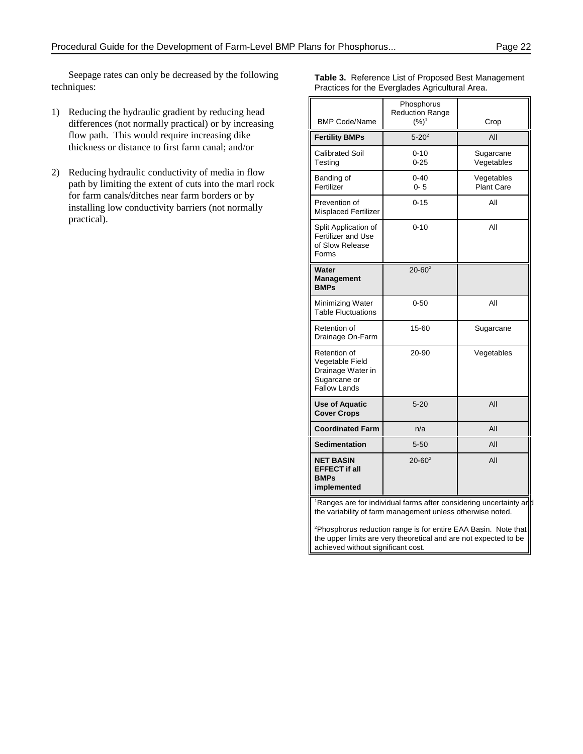Seepage rates can only be decreased by the following techniques:

- 1) Reducing the hydraulic gradient by reducing head differences (not normally practical) or by increasing flow path. This would require increasing dike thickness or distance to first farm canal; and/or
- 2) Reducing hydraulic conductivity of media in flow path by limiting the extent of cuts into the marl rock for farm canals/ditches near farm borders or by installing low conductivity barriers (not normally practical).

| Practices for the Everglades Agricultural Area.                                             |                                                 |                                 |  |  |
|---------------------------------------------------------------------------------------------|-------------------------------------------------|---------------------------------|--|--|
| <b>BMP Code/Name</b>                                                                        | Phosphorus<br><b>Reduction Range</b><br>$(%)^1$ | Crop                            |  |  |
| <b>Fertility BMPs</b>                                                                       | $5 - 20^2$                                      | All                             |  |  |
| <b>Calibrated Soil</b><br>Testing                                                           | $0 - 10$<br>$0 - 25$                            | Sugarcane<br>Vegetables         |  |  |
| Banding of<br>Fertilizer                                                                    | $0 - 40$<br>$0 - 5$                             | Vegetables<br><b>Plant Care</b> |  |  |
| Prevention of<br><b>Misplaced Fertilizer</b>                                                | $0 - 15$                                        | All                             |  |  |
| Split Application of<br><b>Fertilizer and Use</b><br>of Slow Release<br>Forms               | $0 - 10$                                        | All                             |  |  |
| Water<br><b>Management</b><br><b>BMPs</b>                                                   | $20 - 60^2$                                     |                                 |  |  |
| Minimizing Water<br><b>Table Fluctuations</b>                                               | $0 - 50$                                        | All                             |  |  |
| Retention of<br>Drainage On-Farm                                                            | 15-60                                           | Sugarcane                       |  |  |
| Retention of<br>Vegetable Field<br>Drainage Water in<br>Sugarcane or<br><b>Fallow Lands</b> | 20-90                                           | Vegetables                      |  |  |
| <b>Use of Aquatic</b><br><b>Cover Crops</b>                                                 | $5 - 20$                                        | All                             |  |  |
| <b>Coordinated Farm</b>                                                                     | n/a                                             | All                             |  |  |
| <b>Sedimentation</b>                                                                        | $5 - 50$                                        | All                             |  |  |
| <b>NET BASIN</b><br><b>EFFECT if all</b><br><b>BMPs</b><br>implemented                      | $20 - 60^2$                                     | All                             |  |  |
| <sup>1</sup> Ranges are for individual farms after considering uncertainty and              |                                                 |                                 |  |  |

**Table 3.** Reference List of Proposed Best Management

the variability of farm management unless otherwise noted.

<sup>2</sup>Phosphorus reduction range is for entire EAA Basin. Note that the upper limits are very theoretical and are not expected to be achieved without significant cost.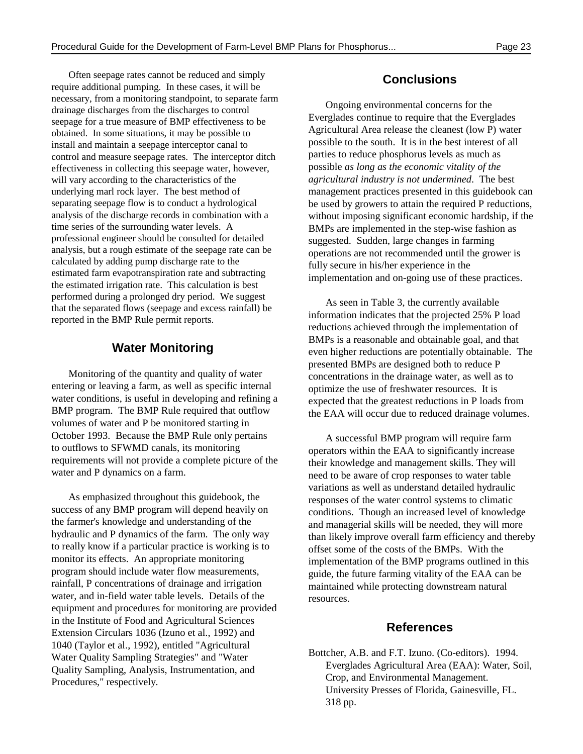Often seepage rates cannot be reduced and simply require additional pumping. In these cases, it will be necessary, from a monitoring standpoint, to separate farm drainage discharges from the discharges to control seepage for a true measure of BMP effectiveness to be obtained. In some situations, it may be possible to install and maintain a seepage interceptor canal to control and measure seepage rates. The interceptor ditch effectiveness in collecting this seepage water, however, will vary according to the characteristics of the underlying marl rock layer. The best method of management practices presented in this guidebook can separating seepage flow is to conduct a hydrological analysis of the discharge records in combination with a time series of the surrounding water levels. A professional engineer should be consulted for detailed analysis, but a rough estimate of the seepage rate can be calculated by adding pump discharge rate to the estimated farm evapotranspiration rate and subtracting the estimated irrigation rate. This calculation is best performed during a prolonged dry period. We suggest that the separated flows (seepage and excess rainfall) be reported in the BMP Rule permit reports.

#### **Water Monitoring**

Monitoring of the quantity and quality of water entering or leaving a farm, as well as specific internal water conditions, is useful in developing and refining a BMP program. The BMP Rule required that outflow volumes of water and P be monitored starting in October 1993. Because the BMP Rule only pertains to outflows to SFWMD canals, its monitoring requirements will not provide a complete picture of the water and P dynamics on a farm.

As emphasized throughout this guidebook, the success of any BMP program will depend heavily on the farmer's knowledge and understanding of the hydraulic and P dynamics of the farm. The only way to really know if a particular practice is working is to monitor its effects. An appropriate monitoring program should include water flow measurements, rainfall, P concentrations of drainage and irrigation water, and in-field water table levels. Details of the equipment and procedures for monitoring are provided in the Institute of Food and Agricultural Sciences Extension Circulars 1036 (Izuno et al., 1992) and 1040 (Taylor et al., 1992), entitled "Agricultural Water Quality Sampling Strategies" and "Water Quality Sampling, Analysis, Instrumentation, and Procedures," respectively.

### **Conclusions**

Ongoing environmental concerns for the Everglades continue to require that the Everglades Agricultural Area release the cleanest (low P) water possible to the south. It is in the best interest of all parties to reduce phosphorus levels as much as possible *as long as the economic vitality of the agricultural industry is not undermined*. The best be used by growers to attain the required P reductions, without imposing significant economic hardship, if the BMPs are implemented in the step-wise fashion as suggested. Sudden, large changes in farming operations are not recommended until the grower is fully secure in his/her experience in the implementation and on-going use of these practices.

As seen in Table 3, the currently available information indicates that the projected 25% P load reductions achieved through the implementation of BMPs is a reasonable and obtainable goal, and that even higher reductions are potentially obtainable. The presented BMPs are designed both to reduce P concentrations in the drainage water, as well as to optimize the use of freshwater resources. It is expected that the greatest reductions in P loads from the EAA will occur due to reduced drainage volumes.

A successful BMP program will require farm operators within the EAA to significantly increase their knowledge and management skills. They will need to be aware of crop responses to water table variations as well as understand detailed hydraulic responses of the water control systems to climatic conditions. Though an increased level of knowledge and managerial skills will be needed, they will more than likely improve overall farm efficiency and thereby offset some of the costs of the BMPs. With the implementation of the BMP programs outlined in this guide, the future farming vitality of the EAA can be maintained while protecting downstream natural resources.

#### **References**

Bottcher, A.B. and F.T. Izuno. (Co-editors). 1994. Everglades Agricultural Area (EAA): Water, Soil, Crop, and Environmental Management. University Presses of Florida, Gainesville, FL. 318 pp.